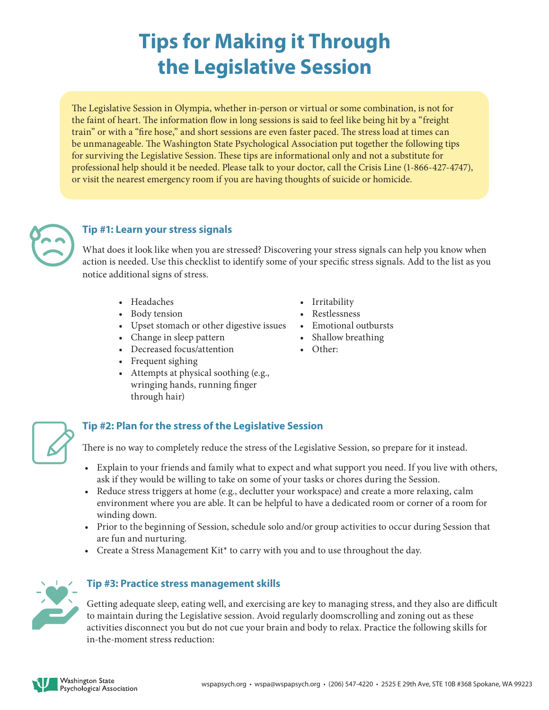# **Tips for Making it Through the Legislative Session**

The Legislative Session in Olympia, whether in-person or virtual or some combination, is not for the faint of heart. The information flow in long sessions is said to feel like being hit by a "freight train" or with a "fire hose," and short sessions are even faster paced. The stress load at times can be unmanageable. The Washington State Psychological Association put together the following tips for surviving the Legislative Session. These tips are informational only and not a substitute for professional help should it be needed. Please talk to your doctor, call the Crisis Line (1-866-427-4747), or visit the nearest emergency room if you are having thoughts of suicide or homicide.



## **Tip #1: Learn your stress signals**

What does it look like when you are stressed? Discovering your stress signals can help you know when action is needed. Use this checklist to identify some of your specific stress signals. Add to the list as you notice additional signs of stress.

- Headaches
- Body tension
- Upset stomach or other digestive issues
- Change in sleep pattern
- Decreased focus/attention
- Frequent sighing
- Attempts at physical soothing (e.g., wringing hands, running finger through hair)
- Irritability
- Restlessness
- Emotional outbursts
- Shallow breathing
- Other:



## **Tip #2: Plan for the stress of the Legislative Session**

There is no way to completely reduce the stress of the Legislative Session, so prepare for it instead.

- Explain to your friends and family what to expect and what support you need. If you live with others, ask if they would be willing to take on some of your tasks or chores during the Session.
- Reduce stress triggers at home (e.g., declutter your workspace) and create a more relaxing, calm environment where you are able. It can be helpful to have a dedicated room or corner of a room for winding down.
- Prior to the beginning of Session, schedule solo and/or group activities to occur during Session that are fun and nurturing.
- Create a Stress Management Kit\* to carry with you and to use throughout the day.



#### **Tip #3: Practice stress management skills**

Getting adequate sleep, eating well, and exercising are key to managing stress, and they also are difficult to maintain during the Legislative session. Avoid regularly doomscrolling and zoning out as these activities disconnect you but do not cue your brain and body to relax. Practice the following skills for in-the-moment stress reduction: